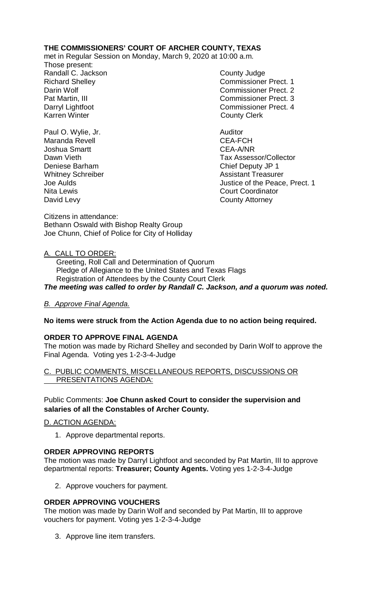# **THE COMMISSIONERS' COURT OF ARCHER COUNTY, TEXAS**

met in Regular Session on Monday, March 9, 2020 at 10:00 a.m.

Those present: Randall C. Jackson County Judge

Richard Shelley **Commissioner Prect. 1** Darin Wolf Commissioner Prect. 2 Pat Martin, III Commissioner Prect. 3 Darryl Lightfoot **Commissioner Prect. 4**<br>
Karren Winter **County County Clerk County Clerk** 

Paul O. Wylie, Jr. **Auditor Paul O. Wylie, Jr. Auditor** Maranda Revell **Maranda** Revell **CEA-FCH** Joshua Smartt CEA-A/NR Deniese Barham Chief Deputy JP 1 Nita Lewis<br>
David Levy<br>
David Levy<br>
County Attorney

Dawn Vieth Tax Assessor/Collector Whitney Schreiber **Assistant Treasurer** Assistant Treasurer Joe Aulds Justice of the Peace, Prect. 1 **County Attorney** 

Citizens in attendance: Bethann Oswald with Bishop Realty Group Joe Chunn, Chief of Police for City of Holliday

# A. CALL TO ORDER:

 Greeting, Roll Call and Determination of Quorum Pledge of Allegiance to the United States and Texas Flags Registration of Attendees by the County Court Clerk *The meeting was called to order by Randall C. Jackson, and a quorum was noted.*

## *B. Approve Final Agenda.*

## **No items were struck from the Action Agenda due to no action being required.**

## **ORDER TO APPROVE FINAL AGENDA**

The motion was made by Richard Shelley and seconded by Darin Wolf to approve the Final Agenda. Voting yes 1-2-3-4-Judge

## C. PUBLIC COMMENTS, MISCELLANEOUS REPORTS, DISCUSSIONS OR PRESENTATIONS AGENDA:

## Public Comments: **Joe Chunn asked Court to consider the supervision and salaries of all the Constables of Archer County.**

D. ACTION AGENDA:

1. Approve departmental reports.

## **ORDER APPROVING REPORTS**

The motion was made by Darryl Lightfoot and seconded by Pat Martin, III to approve departmental reports: **Treasurer; County Agents.** Voting yes 1-2-3-4-Judge

2. Approve vouchers for payment.

## **ORDER APPROVING VOUCHERS**

The motion was made by Darin Wolf and seconded by Pat Martin, III to approve vouchers for payment. Voting yes 1-2-3-4-Judge

3. Approve line item transfers.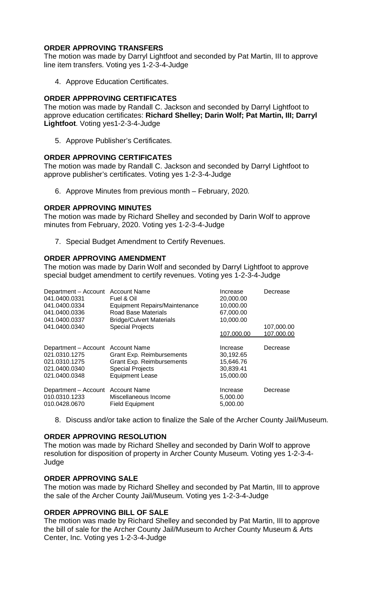## **ORDER APPROVING TRANSFERS**

The motion was made by Darryl Lightfoot and seconded by Pat Martin, III to approve line item transfers. Voting yes 1-2-3-4-Judge

4. Approve Education Certificates.

## **ORDER APPPROVING CERTIFICATES**

The motion was made by Randall C. Jackson and seconded by Darryl Lightfoot to approve education certificates: **Richard Shelley; Darin Wolf; Pat Martin, III; Darryl Lightfoot**. Voting yes1-2-3-4-Judge

5. Approve Publisher's Certificates.

#### **ORDER APPROVING CERTIFICATES**

The motion was made by Randall C. Jackson and seconded by Darryl Lightfoot to approve publisher's certificates. Voting yes 1-2-3-4-Judge

6. Approve Minutes from previous month – February, 2020*.*

#### **ORDER APPROVING MINUTES**

The motion was made by Richard Shelley and seconded by Darin Wolf to approve minutes from February, 2020. Voting yes 1-2-3-4-Judge

7. Special Budget Amendment to Certify Revenues.

## **ORDER APPROVING AMENDMENT**

The motion was made by Darin Wolf and seconded by Darryl Lightfoot to approve special budget amendment to certify revenues. Voting yes 1-2-3-4-Judge

| Department - Account Account Name<br>041.0400.0331<br>041.0400.0334<br>041.0400.0336<br>041.0400.0337<br>041.0400.0340 | Fuel & Oil<br><b>Equipment Repairs/Maintenance</b><br>Road Base Materials<br><b>Bridge/Culvert Materials</b><br><b>Special Projects</b> | Increase<br>20,000.00<br>10,000.00<br>67,000.00<br>10,000.00<br>107.000.00 | Decrease<br>107,000.00<br>107.000.00 |
|------------------------------------------------------------------------------------------------------------------------|-----------------------------------------------------------------------------------------------------------------------------------------|----------------------------------------------------------------------------|--------------------------------------|
| Department - Account Account Name<br>021.0310.1275<br>021.0310.1275<br>021.0400.0340<br>021.0400.0348                  | Grant Exp. Reimbursements<br>Grant Exp. Reimbursements<br><b>Special Projects</b><br><b>Equipment Lease</b>                             | Increase<br>30,192.65<br>15,646.76<br>30,839.41<br>15,000.00               | Decrease                             |
| Department - Account Account Name<br>010.0310.1233<br>010.0428.0670                                                    | Miscellaneous Income<br><b>Field Equipment</b>                                                                                          | Increase<br>5,000.00<br>5,000.00                                           | Decrease                             |

8. Discuss and/or take action to finalize the Sale of the Archer County Jail/Museum.

#### **ORDER APPROVING RESOLUTION**

The motion was made by Richard Shelley and seconded by Darin Wolf to approve resolution for disposition of property in Archer County Museum. Voting yes 1-2-3-4- Judge

### **ORDER APPROVING SALE**

The motion was made by Richard Shelley and seconded by Pat Martin, III to approve the sale of the Archer County Jail/Museum. Voting yes 1-2-3-4-Judge

#### **ORDER APPROVING BILL OF SALE**

The motion was made by Richard Shelley and seconded by Pat Martin, III to approve the bill of sale for the Archer County Jail/Museum to Archer County Museum & Arts Center, Inc. Voting yes 1-2-3-4-Judge